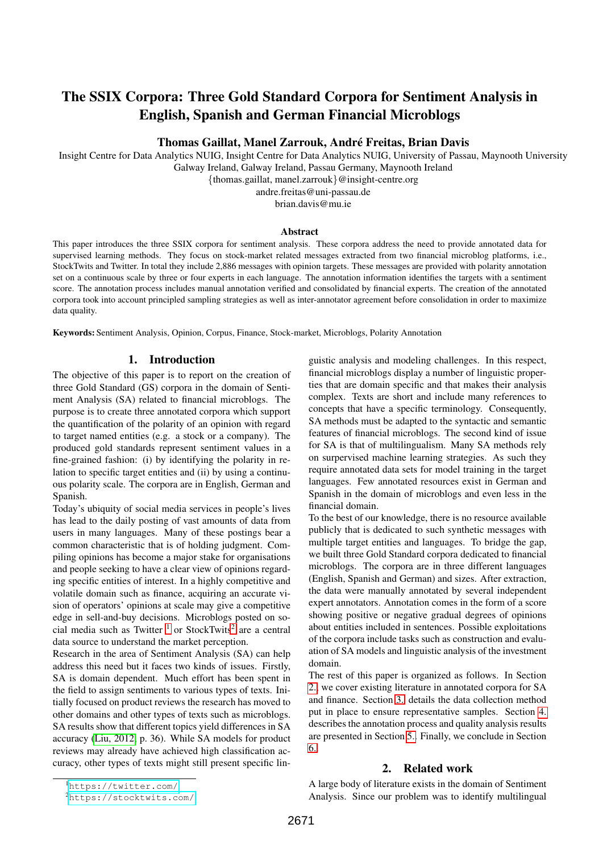# The SSIX Corpora: Three Gold Standard Corpora for Sentiment Analysis in English, Spanish and German Financial Microblogs

# Thomas Gaillat, Manel Zarrouk, Andre Freitas, Brian Davis ´

Insight Centre for Data Analytics NUIG, Insight Centre for Data Analytics NUIG, University of Passau, Maynooth University Galway Ireland, Galway Ireland, Passau Germany, Maynooth Ireland {thomas.gaillat, manel.zarrouk}@insight-centre.org

andre.freitas@uni-passau.de brian.davis@mu.ie

# Abstract

This paper introduces the three SSIX corpora for sentiment analysis. These corpora address the need to provide annotated data for supervised learning methods. They focus on stock-market related messages extracted from two financial microblog platforms, i.e., StockTwits and Twitter. In total they include 2,886 messages with opinion targets. These messages are provided with polarity annotation set on a continuous scale by three or four experts in each language. The annotation information identifies the targets with a sentiment score. The annotation process includes manual annotation verified and consolidated by financial experts. The creation of the annotated corpora took into account principled sampling strategies as well as inter-annotator agreement before consolidation in order to maximize data quality.

Keywords: Sentiment Analysis, Opinion, Corpus, Finance, Stock-market, Microblogs, Polarity Annotation

# 1. Introduction

The objective of this paper is to report on the creation of three Gold Standard (GS) corpora in the domain of Sentiment Analysis (SA) related to financial microblogs. The purpose is to create three annotated corpora which support the quantification of the polarity of an opinion with regard to target named entities (e.g. a stock or a company). The produced gold standards represent sentiment values in a fine-grained fashion: (i) by identifying the polarity in relation to specific target entities and (ii) by using a continuous polarity scale. The corpora are in English, German and Spanish.

Today's ubiquity of social media services in people's lives has lead to the daily posting of vast amounts of data from users in many languages. Many of these postings bear a common characteristic that is of holding judgment. Compiling opinions has become a major stake for organisations and people seeking to have a clear view of opinions regarding specific entities of interest. In a highly competitive and volatile domain such as finance, acquiring an accurate vision of operators' opinions at scale may give a competitive edge in sell-and-buy decisions. Microblogs posted on social media such as Twitter  $1$  or StockTwits<sup>[2](#page-0-1)</sup> are a central data source to understand the market perception.

Research in the area of Sentiment Analysis (SA) can help address this need but it faces two kinds of issues. Firstly, SA is domain dependent. Much effort has been spent in the field to assign sentiments to various types of texts. Initially focused on product reviews the research has moved to other domains and other types of texts such as microblogs. SA results show that different topics yield differences in SA accuracy [\(Liu, 2012,](#page-3-0) p. 36). While SA models for product reviews may already have achieved high classification accuracy, other types of texts might still present specific linguistic analysis and modeling challenges. In this respect, financial microblogs display a number of linguistic properties that are domain specific and that makes their analysis complex. Texts are short and include many references to concepts that have a specific terminology. Consequently, SA methods must be adapted to the syntactic and semantic features of financial microblogs. The second kind of issue for SA is that of multilingualism. Many SA methods rely on surpervised machine learning strategies. As such they require annotated data sets for model training in the target languages. Few annotated resources exist in German and Spanish in the domain of microblogs and even less in the financial domain.

To the best of our knowledge, there is no resource available publicly that is dedicated to such synthetic messages with multiple target entities and languages. To bridge the gap, we built three Gold Standard corpora dedicated to financial microblogs. The corpora are in three different languages (English, Spanish and German) and sizes. After extraction, the data were manually annotated by several independent expert annotators. Annotation comes in the form of a score showing positive or negative gradual degrees of opinions about entities included in sentences. Possible exploitations of the corpora include tasks such as construction and evaluation of SA models and linguistic analysis of the investment domain.

The rest of this paper is organized as follows. In Section [2.,](#page-0-2) we cover existing literature in annotated corpora for SA and finance. Section [3.](#page-1-0) details the data collection method put in place to ensure representative samples. Section [4.](#page-2-0) describes the annotation process and quality analysis results are presented in Section [5..](#page-2-1) Finally, we conclude in Section [6..](#page-3-1)

# 2. Related work

<span id="page-0-2"></span>A large body of literature exists in the domain of Sentiment Analysis. Since our problem was to identify multilingual

<span id="page-0-0"></span><sup>1</sup><https://twitter.com/>

<span id="page-0-1"></span><sup>2</sup><https://stocktwits.com/>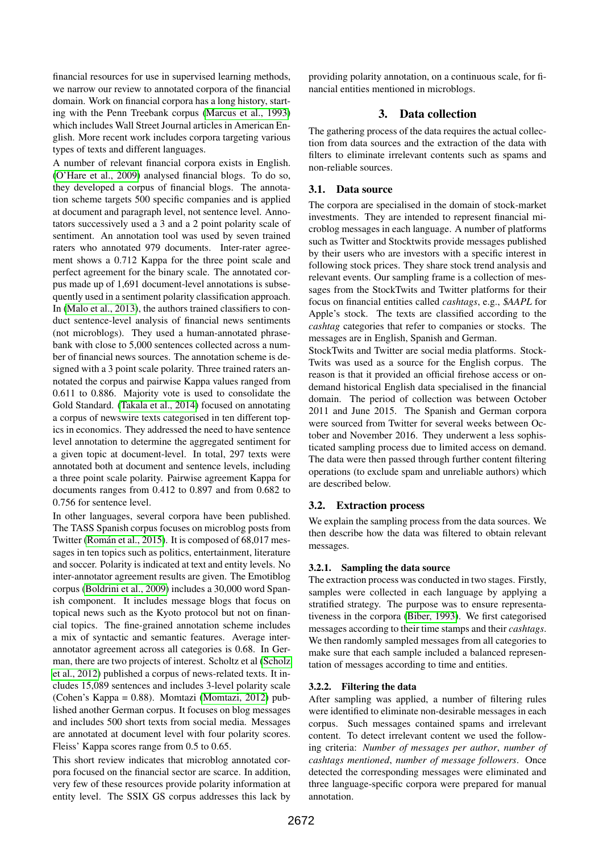financial resources for use in supervised learning methods, we narrow our review to annotated corpora of the financial domain. Work on financial corpora has a long history, starting with the Penn Treebank corpus [\(Marcus et al., 1993\)](#page-3-2) which includes Wall Street Journal articles in American English. More recent work includes corpora targeting various types of texts and different languages.

A number of relevant financial corpora exists in English. [\(O'Hare et al., 2009\)](#page-3-3) analysed financial blogs. To do so, they developed a corpus of financial blogs. The annotation scheme targets 500 specific companies and is applied at document and paragraph level, not sentence level. Annotators successively used a 3 and a 2 point polarity scale of sentiment. An annotation tool was used by seven trained raters who annotated 979 documents. Inter-rater agreement shows a 0.712 Kappa for the three point scale and perfect agreement for the binary scale. The annotated corpus made up of 1,691 document-level annotations is subsequently used in a sentiment polarity classification approach. In [\(Malo et al., 2013\)](#page-3-4), the authors trained classifiers to conduct sentence-level analysis of financial news sentiments (not microblogs). They used a human-annotated phrasebank with close to 5,000 sentences collected across a number of financial news sources. The annotation scheme is designed with a 3 point scale polarity. Three trained raters annotated the corpus and pairwise Kappa values ranged from 0.611 to 0.886. Majority vote is used to consolidate the Gold Standard. [\(Takala et al., 2014\)](#page-4-0) focused on annotating a corpus of newswire texts categorised in ten different topics in economics. They addressed the need to have sentence level annotation to determine the aggregated sentiment for a given topic at document-level. In total, 297 texts were annotated both at document and sentence levels, including a three point scale polarity. Pairwise agreement Kappa for documents ranges from 0.412 to 0.897 and from 0.682 to 0.756 for sentence level.

In other languages, several corpora have been published. The TASS Spanish corpus focuses on microblog posts from Twitter (Román et al., 2015). It is composed of 68,017 messages in ten topics such as politics, entertainment, literature and soccer. Polarity is indicated at text and entity levels. No inter-annotator agreement results are given. The Emotiblog corpus [\(Boldrini et al., 2009\)](#page-3-5) includes a 30,000 word Spanish component. It includes message blogs that focus on topical news such as the Kyoto protocol but not on financial topics. The fine-grained annotation scheme includes a mix of syntactic and semantic features. Average interannotator agreement across all categories is 0.68. In German, there are two projects of interest. Scholtz et al [\(Scholz](#page-4-2) [et al., 2012\)](#page-4-2) published a corpus of news-related texts. It includes 15,089 sentences and includes 3-level polarity scale (Cohen's Kappa = 0.88). Momtazi [\(Momtazi, 2012\)](#page-3-6) published another German corpus. It focuses on blog messages and includes 500 short texts from social media. Messages are annotated at document level with four polarity scores. Fleiss' Kappa scores range from 0.5 to 0.65.

This short review indicates that microblog annotated corpora focused on the financial sector are scarce. In addition, very few of these resources provide polarity information at entity level. The SSIX GS corpus addresses this lack by

providing polarity annotation, on a continuous scale, for financial entities mentioned in microblogs.

# 3. Data collection

<span id="page-1-0"></span>The gathering process of the data requires the actual collection from data sources and the extraction of the data with filters to eliminate irrelevant contents such as spams and non-reliable sources.

# 3.1. Data source

The corpora are specialised in the domain of stock-market investments. They are intended to represent financial microblog messages in each language. A number of platforms such as Twitter and Stocktwits provide messages published by their users who are investors with a specific interest in following stock prices. They share stock trend analysis and relevant events. Our sampling frame is a collection of messages from the StockTwits and Twitter platforms for their focus on financial entities called *cashtags*, e.g., \$*AAPL* for Apple's stock. The texts are classified according to the *cashtag* categories that refer to companies or stocks. The messages are in English, Spanish and German.

StockTwits and Twitter are social media platforms. Stock-Twits was used as a source for the English corpus. The reason is that it provided an official firehose access or ondemand historical English data specialised in the financial domain. The period of collection was between October 2011 and June 2015. The Spanish and German corpora were sourced from Twitter for several weeks between October and November 2016. They underwent a less sophisticated sampling process due to limited access on demand. The data were then passed through further content filtering operations (to exclude spam and unreliable authors) which are described below.

# 3.2. Extraction process

We explain the sampling process from the data sources. We then describe how the data was filtered to obtain relevant messages.

#### 3.2.1. Sampling the data source

The extraction process was conducted in two stages. Firstly, samples were collected in each language by applying a stratified strategy. The purpose was to ensure representativeness in the corpora [\(Biber, 1993\)](#page-3-7). We first categorised messages according to their time stamps and their *cashtags*. We then randomly sampled messages from all categories to make sure that each sample included a balanced representation of messages according to time and entities.

#### 3.2.2. Filtering the data

After sampling was applied, a number of filtering rules were identified to eliminate non-desirable messages in each corpus. Such messages contained spams and irrelevant content. To detect irrelevant content we used the following criteria: *Number of messages per author*, *number of cashtags mentioned*, *number of message followers*. Once detected the corresponding messages were eliminated and three language-specific corpora were prepared for manual annotation.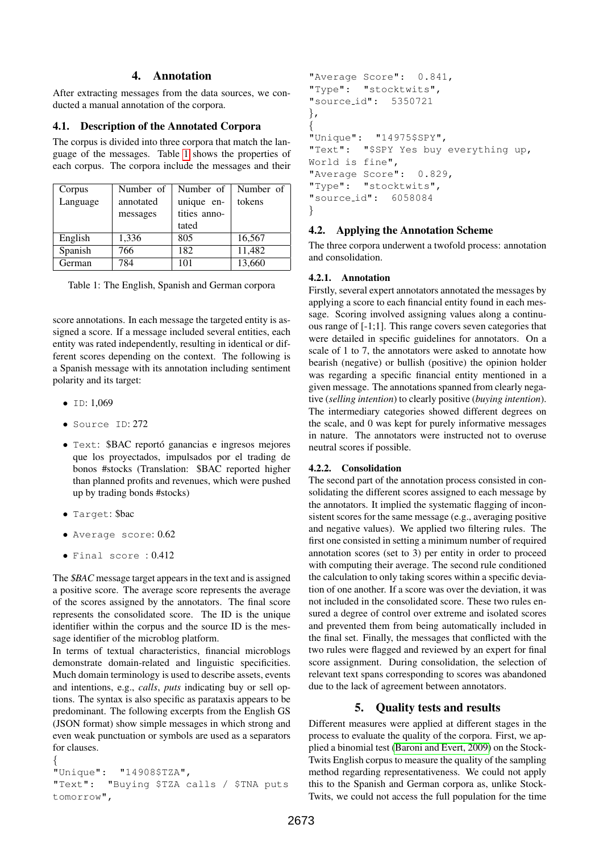# 4. Annotation

<span id="page-2-0"></span>After extracting messages from the data sources, we conducted a manual annotation of the corpora.

### 4.1. Description of the Annotated Corpora

The corpus is divided into three corpora that match the language of the messages. Table [1](#page-2-2) shows the properties of each corpus. The corpora include the messages and their

| Corpus   | Number of | Number of    | Number of |
|----------|-----------|--------------|-----------|
| Language | annotated | unique en-   | tokens    |
|          | messages  | tities anno- |           |
|          |           | tated        |           |
| English  | 1,336     | 805          | 16,567    |
| Spanish  | 766       | 182          | 11,482    |
| German   | 784       | 101          | 13,660    |

<span id="page-2-2"></span>Table 1: The English, Spanish and German corpora

score annotations. In each message the targeted entity is assigned a score. If a message included several entities, each entity was rated independently, resulting in identical or different scores depending on the context. The following is a Spanish message with its annotation including sentiment polarity and its target:

- $\bullet$  ID: 1,069
- Source ID: 272
- Text: \$BAC reporto ganancias e ingresos mejores ´ que los proyectados, impulsados por el trading de bonos #stocks (Translation: \$BAC reported higher than planned profits and revenues, which were pushed up by trading bonds #stocks)
- Target: \$bac
- Average score: 0.62
- Final score : 0.412

The \$*BAC* message target appears in the text and is assigned a positive score. The average score represents the average of the scores assigned by the annotators. The final score represents the consolidated score. The ID is the unique identifier within the corpus and the source ID is the message identifier of the microblog platform.

In terms of textual characteristics, financial microblogs demonstrate domain-related and linguistic specificities. Much domain terminology is used to describe assets, events and intentions, e.g., *calls*, *puts* indicating buy or sell options. The syntax is also specific as parataxis appears to be predominant. The following excerpts from the English GS (JSON format) show simple messages in which strong and even weak punctuation or symbols are used as a separators for clauses.

{ "Unique": "14908\$TZA", "Text": "Buying \$TZA calls / \$TNA puts tomorrow",

```
"Average Score": 0.841,
"Type": "stocktwits",
"source id": 5350721
},
{
"Unique": "14975$SPY",
"Text": "$SPY Yes buy everything up,
World is fine",
"Average Score": 0.829,
"Type": "stocktwits",
"source id": 6058084
}
```
# 4.2. Applying the Annotation Scheme

The three corpora underwent a twofold process: annotation and consolidation.

#### 4.2.1. Annotation

Firstly, several expert annotators annotated the messages by applying a score to each financial entity found in each message. Scoring involved assigning values along a continuous range of [-1;1]. This range covers seven categories that were detailed in specific guidelines for annotators. On a scale of 1 to 7, the annotators were asked to annotate how bearish (negative) or bullish (positive) the opinion holder was regarding a specific financial entity mentioned in a given message. The annotations spanned from clearly negative (*selling intention*) to clearly positive (*buying intention*). The intermediary categories showed different degrees on the scale, and 0 was kept for purely informative messages in nature. The annotators were instructed not to overuse neutral scores if possible.

#### 4.2.2. Consolidation

The second part of the annotation process consisted in consolidating the different scores assigned to each message by the annotators. It implied the systematic flagging of inconsistent scores for the same message (e.g., averaging positive and negative values). We applied two filtering rules. The first one consisted in setting a minimum number of required annotation scores (set to 3) per entity in order to proceed with computing their average. The second rule conditioned the calculation to only taking scores within a specific deviation of one another. If a score was over the deviation, it was not included in the consolidated score. These two rules ensured a degree of control over extreme and isolated scores and prevented them from being automatically included in the final set. Finally, the messages that conflicted with the two rules were flagged and reviewed by an expert for final score assignment. During consolidation, the selection of relevant text spans corresponding to scores was abandoned due to the lack of agreement between annotators.

# 5. Quality tests and results

<span id="page-2-1"></span>Different measures were applied at different stages in the process to evaluate the quality of the corpora. First, we applied a binomial test [\(Baroni and Evert, 2009\)](#page-3-8) on the Stock-Twits English corpus to measure the quality of the sampling method regarding representativeness. We could not apply this to the Spanish and German corpora as, unlike Stock-Twits, we could not access the full population for the time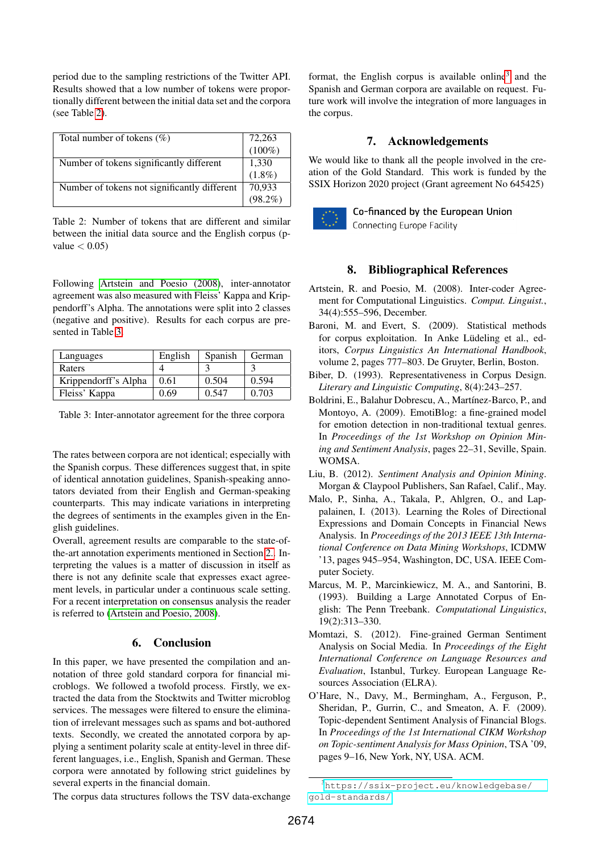period due to the sampling restrictions of the Twitter API. Results showed that a low number of tokens were proportionally different between the initial data set and the corpora (see Table [2\)](#page-3-9).

| Total number of tokens $(\%)$                | 72,263<br>(100%)     |
|----------------------------------------------|----------------------|
|                                              |                      |
| Number of tokens significantly different     | $1,330$<br>$(1.8\%)$ |
|                                              |                      |
| Number of tokens not significantly different | 70,933               |
|                                              | $98.2\%$             |

<span id="page-3-9"></span>Table 2: Number of tokens that are different and similar between the initial data source and the English corpus (pvalue  $< 0.05$ 

Following [Artstein and Poesio \(2008\)](#page-3-10), inter-annotator agreement was also measured with Fleiss' Kappa and Krippendorff's Alpha. The annotations were split into 2 classes (negative and positive). Results for each corpus are presented in Table [3.](#page-3-11)

| Languages            | English | Spanish | German |
|----------------------|---------|---------|--------|
| Raters               |         |         |        |
| Krippendorff's Alpha | 0.61    | 0.504   | 0.594  |
| Fleiss' Kappa        | 0.69    | 0.547   | 0.703  |

<span id="page-3-11"></span>Table 3: Inter-annotator agreement for the three corpora

The rates between corpora are not identical; especially with the Spanish corpus. These differences suggest that, in spite of identical annotation guidelines, Spanish-speaking annotators deviated from their English and German-speaking counterparts. This may indicate variations in interpreting the degrees of sentiments in the examples given in the English guidelines.

Overall, agreement results are comparable to the state-ofthe-art annotation experiments mentioned in Section [2..](#page-0-2) Interpreting the values is a matter of discussion in itself as there is not any definite scale that expresses exact agreement levels, in particular under a continuous scale setting. For a recent interpretation on consensus analysis the reader is referred to [\(Artstein and Poesio, 2008\)](#page-3-10).

# 6. Conclusion

<span id="page-3-1"></span>In this paper, we have presented the compilation and annotation of three gold standard corpora for financial microblogs. We followed a twofold process. Firstly, we extracted the data from the Stocktwits and Twitter microblog services. The messages were filtered to ensure the elimination of irrelevant messages such as spams and bot-authored texts. Secondly, we created the annotated corpora by applying a sentiment polarity scale at entity-level in three different languages, i.e., English, Spanish and German. These corpora were annotated by following strict guidelines by several experts in the financial domain.

format, the English corpus is available online<sup>[3](#page-3-12)</sup> and the Spanish and German corpora are available on request. Future work will involve the integration of more languages in the corpus.

# 7. Acknowledgements

We would like to thank all the people involved in the creation of the Gold Standard. This work is funded by the SSIX Horizon 2020 project (Grant agreement No 645425)



Co-financed by the European Union

Connecting Europe Facility

# 8. Bibliographical References

- <span id="page-3-10"></span>Artstein, R. and Poesio, M. (2008). Inter-coder Agreement for Computational Linguistics. *Comput. Linguist.*, 34(4):555–596, December.
- <span id="page-3-8"></span>Baroni, M. and Evert, S. (2009). Statistical methods for corpus exploitation. In Anke Lüdeling et al., editors, *Corpus Linguistics An International Handbook*, volume 2, pages 777–803. De Gruyter, Berlin, Boston.
- <span id="page-3-7"></span>Biber, D. (1993). Representativeness in Corpus Design. *Literary and Linguistic Computing*, 8(4):243–257.
- <span id="page-3-5"></span>Boldrini, E., Balahur Dobrescu, A., Martínez-Barco, P., and Montoyo, A. (2009). EmotiBlog: a fine-grained model for emotion detection in non-traditional textual genres. In *Proceedings of the 1st Workshop on Opinion Mining and Sentiment Analysis*, pages 22–31, Seville, Spain. WOMSA.
- <span id="page-3-0"></span>Liu, B. (2012). *Sentiment Analysis and Opinion Mining*. Morgan & Claypool Publishers, San Rafael, Calif., May.
- <span id="page-3-4"></span>Malo, P., Sinha, A., Takala, P., Ahlgren, O., and Lappalainen, I. (2013). Learning the Roles of Directional Expressions and Domain Concepts in Financial News Analysis. In *Proceedings of the 2013 IEEE 13th International Conference on Data Mining Workshops*, ICDMW '13, pages 945–954, Washington, DC, USA. IEEE Computer Society.
- <span id="page-3-2"></span>Marcus, M. P., Marcinkiewicz, M. A., and Santorini, B. (1993). Building a Large Annotated Corpus of English: The Penn Treebank. *Computational Linguistics*, 19(2):313–330.
- <span id="page-3-6"></span>Momtazi, S. (2012). Fine-grained German Sentiment Analysis on Social Media. In *Proceedings of the Eight International Conference on Language Resources and Evaluation*, Istanbul, Turkey. European Language Resources Association (ELRA).
- <span id="page-3-3"></span>O'Hare, N., Davy, M., Bermingham, A., Ferguson, P., Sheridan, P., Gurrin, C., and Smeaton, A. F. (2009). Topic-dependent Sentiment Analysis of Financial Blogs. In *Proceedings of the 1st International CIKM Workshop on Topic-sentiment Analysis for Mass Opinion*, TSA '09, pages 9–16, New York, NY, USA. ACM.

The corpus data structures follows the TSV data-exchange

<span id="page-3-12"></span><sup>3</sup>[https://ssix-project.eu/knowledgebase/](https://ssix-project.eu/knowledgebase/gold-standards/) [gold-standards/](https://ssix-project.eu/knowledgebase/gold-standards/)